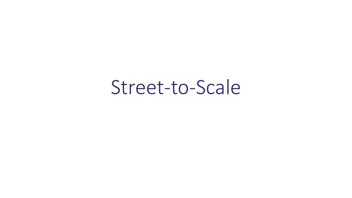Street-to-Scale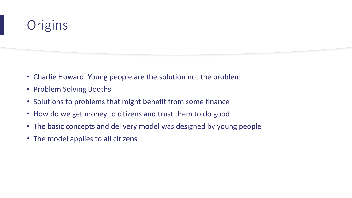# **Origins**

- Charlie Howard: Young people are the solution not the problem
- Problem Solving Booths
- Solutions to problems that might benefit from some finance
- How do we get money to citizens and trust them to do good
- The basic concepts and delivery model was designed by young people
- The model applies to all citizens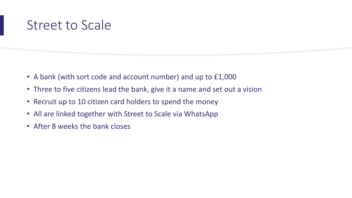### Street to Scale

- A bank (with sort code and account number) and up to £1,000
- Three to five citizens lead the bank, give it a name and set out a vision
- Recruit up to 10 citizen card holders to spend the money
- All are linked together with Street to Scale via WhatsApp
- After 8 weeks the bank closes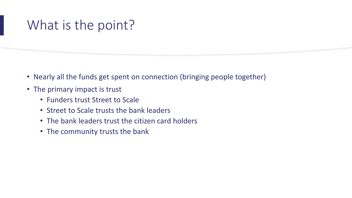## What is the point?

- Nearly all the funds get spent on connection (bringing people together)
- The primary impact is trust
	- Funders trust Street to Scale
	- Street to Scale trusts the bank leaders
	- The bank leaders trust the citizen card holders
	- The community trusts the bank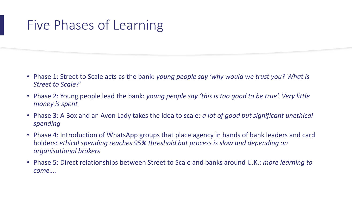## Five Phases of Learning

- Phase 1: Street to Scale acts as the bank: *young people say 'why would we trust you? What is Street to Scale?*'
- Phase 2: Young people lead the bank: *young people say 'this is too good to be true'. Very little money is spent*
- Phase 3: A Box and an Avon Lady takes the idea to scale: *a lot of good but significant unethical spending*
- Phase 4: Introduction of WhatsApp groups that place agency in hands of bank leaders and card holders: *ethical spending reaches 95% threshold but process is slow and depending on organisational brokers*
- Phase 5: Direct relationships between Street to Scale and banks around U.K.: *more learning to come….*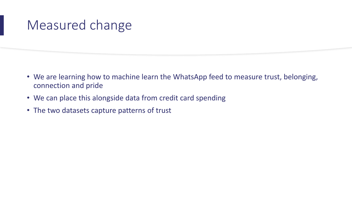### Measured change

- We are learning how to machine learn the WhatsApp feed to measure trust, belonging, connection and pride
- We can place this alongside data from credit card spending
- The two datasets capture patterns of trust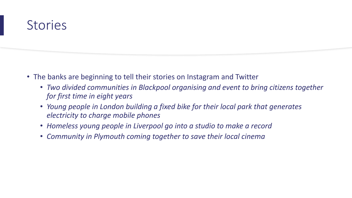### Stories

- The banks are beginning to tell their stories on Instagram and Twitter
	- *Two divided communities in Blackpool organising and event to bring citizens together for first time in eight years*
	- *Young people in London building a fixed bike for their local park that generates electricity to charge mobile phones*
	- *Homeless young people in Liverpool go into a studio to make a record*
	- *Community in Plymouth coming together to save their local cinema*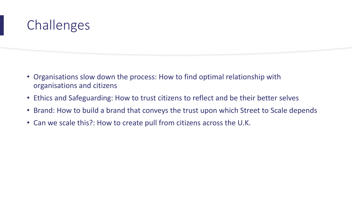# **Challenges**

- Organisations slow down the process: How to find optimal relationship with organisations and citizens
- Ethics and Safeguarding: How to trust citizens to reflect and be their better selves
- Brand: How to build a brand that conveys the trust upon which Street to Scale depends
- Can we scale this?: How to create pull from citizens across the U.K.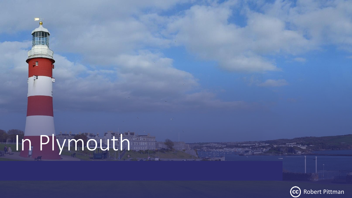# In Plymouth

 $-E$ 

珊

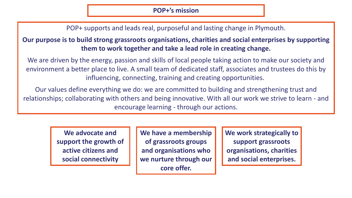POP+ supports and leads real, purposeful and lasting change in Plymouth.

**Our purpose is to build strong grassroots organisations, charities and social enterprises by supporting them to work together and take a lead role in creating change.**

We are driven by the energy, passion and skills of local people taking action to make our society and environment a better place to live. A small team of dedicated staff, associates and trustees do this by influencing, connecting, training and creating opportunities.

Our values define everything we do: we are committed to building and strengthening trust and relationships; collaborating with others and being innovative. With all our work we strive to learn - and encourage learning - through our actions.

> **We advocate and support the growth of active citizens and social connectivity**

**We have a membership of grassroots groups and organisations who we nurture through our core offer.**

**We work strategically to support grassroots organisations, charities and social enterprises.**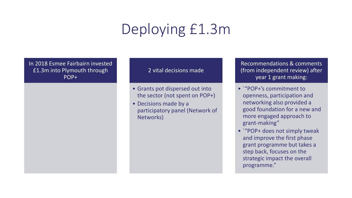# Deploying £1.3m

In 2018 Esmee Fairbairn invested £1.3m into Plymouth through POP+

#### 2 vital decisions made

- Grants pot dispersed out into the sector (not spent on POP+)
- Decisions made by a participatory panel (Network of Networks)

Recommendations & comments (from independent review) after year 1 grant making:

- `"POP+'s commitment to openness, participation and networking also provided a good foundation for a new and more engaged approach to grant-making"
- `"POP+ does not simply tweak and improve the first phase grant programme but takes a step back, focuses on the strategic impact the overall programme."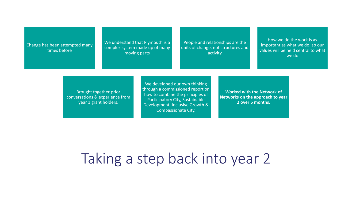Change has been attempted many times before

We understand that Plymouth is a complex system made up of many moving parts

People and relationships are the units of change, not structures and activity

How we do the work is as important as what we do; so our values will be held central to what we do

Brought together prior conversations & experience from year 1 grant holders.

We developed our own thinking through a commissioned report on how to combine the principles of Participatory City, Sustainable Development, Inclusive Growth & Compassionate City.

**Worked with the Network of Networks on the approach to year 2 over 6 months.**

Taking a step back into year 2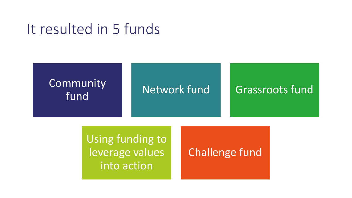# It resulted in 5 funds



Using funding to leverage values into action

### Challenge fund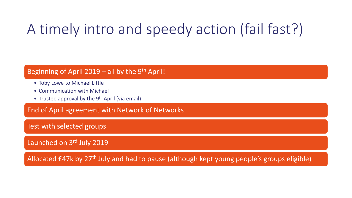# A timely intro and speedy action (fail fast?)

#### Beginning of April 2019 – all by the 9<sup>th</sup> April!

- Toby Lowe to Michael Little
- Communication with Michael
- Trustee approval by the  $9<sup>th</sup>$  April (via email)

End of April agreement with Network of Networks

Test with selected groups

Launched on 3rd July 2019

Allocated £47k by 27<sup>th</sup> July and had to pause (although kept young people's groups eligible)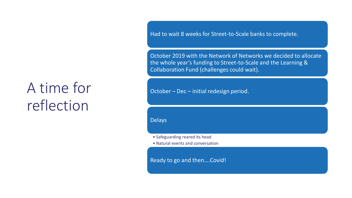# A time for reflection

Had to wait 8 weeks for Street-to-Scale banks to complete.

October 2019 with the Network of Networks we decided to allocate the whole year's funding to Street-to-Scale and the Learning & Collaboration Fund (challenges could wait).

October – Dec – initial redesign period.

Delays

• Safeguarding reared its head

• Natural events and conversation

Ready to go and then….Covid!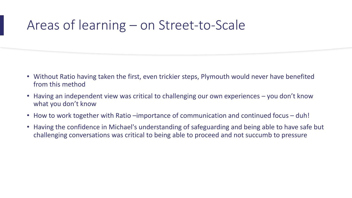### Areas of learning – on Street-to-Scale

- Without Ratio having taken the first, even trickier steps, Plymouth would never have benefited from this method
- Having an independent view was critical to challenging our own experiences you don't know what you don't know
- How to work together with Ratio –importance of communication and continued focus duh!
- Having the confidence in Michael's understanding of safeguarding and being able to have safe but challenging conversations was critical to being able to proceed and not succumb to pressure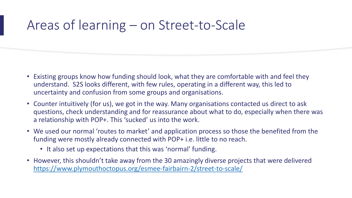### Areas of learning – on Street-to-Scale

- Existing groups know how funding should look, what they are comfortable with and feel they understand. S2S looks different, with few rules, operating in a different way, this led to uncertainty and confusion from some groups and organisations.
- Counter intuitively (for us), we got in the way. Many organisations contacted us direct to ask questions, check understanding and for reassurance about what to do, especially when there was a relationship with POP+. This 'sucked' us into the work.
- We used our normal 'routes to market' and application process so those the benefited from the funding were mostly already connected with POP+ i.e. little to no reach.
	- It also set up expectations that this was 'normal' funding.
- However, this shouldn't take away from the 30 amazingly diverse projects that were delivered <https://www.plymouthoctopus.org/esmee-fairbairn-2/street-to-scale/>